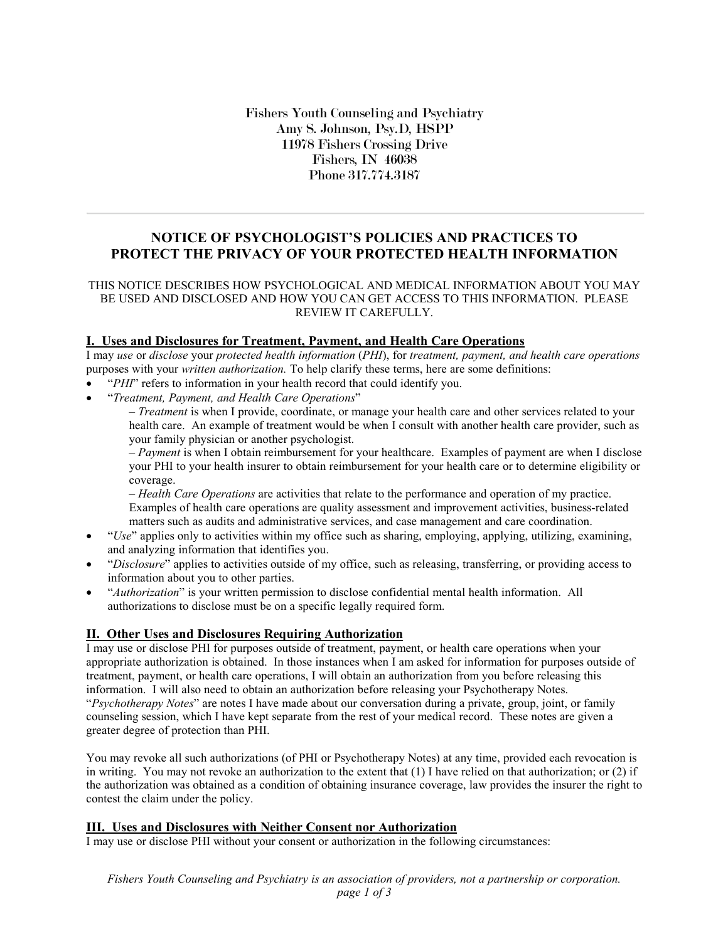# **NOTICE OF PSYCHOLOGIST'S POLICIES AND PRACTICES TO PROTECT THE PRIVACY OF YOUR PROTECTED HEALTH INFORMATION**

#### THIS NOTICE DESCRIBES HOW PSYCHOLOGICAL AND MEDICAL INFORMATION ABOUT YOU MAY BE USED AND DISCLOSED AND HOW YOU CAN GET ACCESS TO THIS INFORMATION. PLEASE REVIEW IT CAREFULLY.

### **I. Uses and Disclosures for Treatment, Payment, and Health Care Operations**

I may *use* or *disclose* your *protected health information* (*PHI*), for *treatment, payment, and health care operations*  purposes with your *written authorization.* To help clarify these terms, here are some definitions:

- "*PHI*" refers to information in your health record that could identify you.
- "*Treatment, Payment, and Health Care Operations*"

– *Treatment* is when I provide, coordinate, or manage your health care and other services related to your health care. An example of treatment would be when I consult with another health care provider, such as your family physician or another psychologist.

– *Payment* is when I obtain reimbursement for your healthcare. Examples of payment are when I disclose your PHI to your health insurer to obtain reimbursement for your health care or to determine eligibility or coverage.

– *Health Care Operations* are activities that relate to the performance and operation of my practice. Examples of health care operations are quality assessment and improvement activities, business-related matters such as audits and administrative services, and case management and care coordination.

- "*Use*" applies only to activities within my office such as sharing, employing, applying, utilizing, examining, and analyzing information that identifies you.
- "*Disclosure*" applies to activities outside of my office, such as releasing, transferring, or providing access to information about you to other parties.
- "*Authorization*" is your written permission to disclose confidential mental health information. All authorizations to disclose must be on a specific legally required form.

### **II. Other Uses and Disclosures Requiring Authorization**

I may use or disclose PHI for purposes outside of treatment, payment, or health care operations when your appropriate authorization is obtained. In those instances when I am asked for information for purposes outside of treatment, payment, or health care operations, I will obtain an authorization from you before releasing this information. I will also need to obtain an authorization before releasing your Psychotherapy Notes. "*Psychotherapy Notes*" are notes I have made about our conversation during a private, group, joint, or family counseling session, which I have kept separate from the rest of your medical record. These notes are given a greater degree of protection than PHI.

You may revoke all such authorizations (of PHI or Psychotherapy Notes) at any time, provided each revocation is in writing. You may not revoke an authorization to the extent that (1) I have relied on that authorization; or (2) if the authorization was obtained as a condition of obtaining insurance coverage, law provides the insurer the right to contest the claim under the policy.

### **III. Uses and Disclosures with Neither Consent nor Authorization**

I may use or disclose PHI without your consent or authorization in the following circumstances:

*Fishers Youth Counseling and Psychiatry is an association of providers, not a partnership or corporation. page 1 of 3*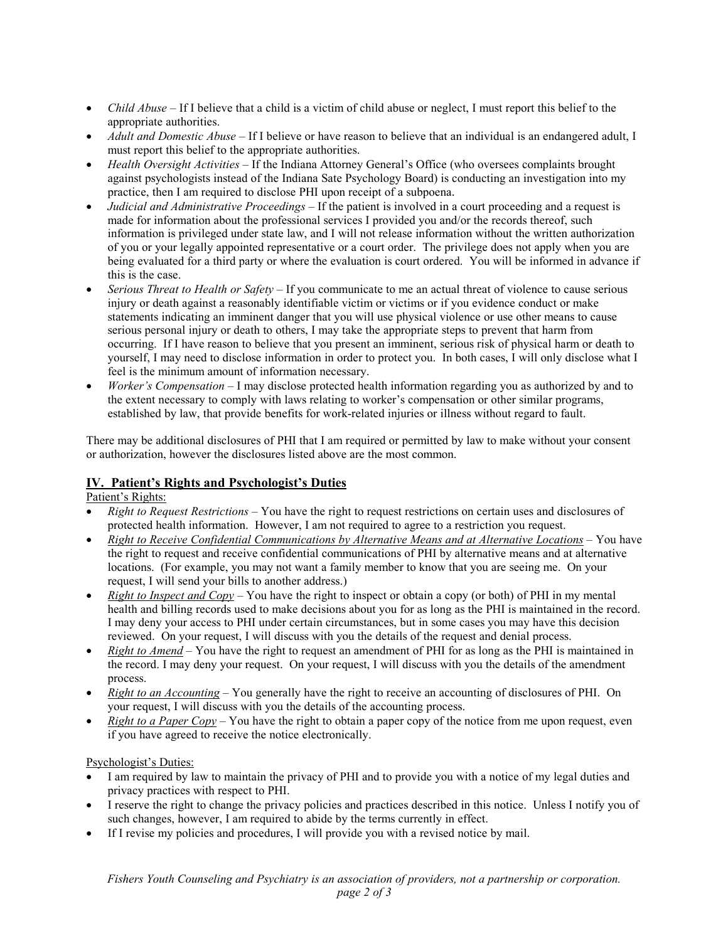- *Child Abuse* If I believe that a child is a victim of child abuse or neglect, I must report this belief to the appropriate authorities.
- *Adult and Domestic Abuse*  If I believe or have reason to believe that an individual is an endangered adult, I must report this belief to the appropriate authorities.
- *Health Oversight Activities –* If the Indiana Attorney General's Office (who oversees complaints brought against psychologists instead of the Indiana Sate Psychology Board) is conducting an investigation into my practice, then I am required to disclose PHI upon receipt of a subpoena.
- *Judicial and Administrative Proceedings*  If the patient is involved in a court proceeding and a request is made for information about the professional services I provided you and/or the records thereof, such information is privileged under state law, and I will not release information without the written authorization of you or your legally appointed representative or a court order. The privilege does not apply when you are being evaluated for a third party or where the evaluation is court ordered. You will be informed in advance if this is the case.
- *Serious Threat to Health or Safety*  If you communicate to me an actual threat of violence to cause serious injury or death against a reasonably identifiable victim or victims or if you evidence conduct or make statements indicating an imminent danger that you will use physical violence or use other means to cause serious personal injury or death to others, I may take the appropriate steps to prevent that harm from occurring. If I have reason to believe that you present an imminent, serious risk of physical harm or death to yourself, I may need to disclose information in order to protect you. In both cases, I will only disclose what I feel is the minimum amount of information necessary.
- *Worker's Compensation*  I may disclose protected health information regarding you as authorized by and to the extent necessary to comply with laws relating to worker's compensation or other similar programs, established by law, that provide benefits for work-related injuries or illness without regard to fault.

There may be additional disclosures of PHI that I am required or permitted by law to make without your consent or authorization, however the disclosures listed above are the most common.

## **IV. Patient's Rights and Psychologist's Duties**

### Patient's Rights:

- *Right to Request Restrictions*  You have the right to request restrictions on certain uses and disclosures of protected health information. However, I am not required to agree to a restriction you request.
- *Right to Receive Confidential Communications by Alternative Means and at Alternative Locations* You have the right to request and receive confidential communications of PHI by alternative means and at alternative locations. (For example, you may not want a family member to know that you are seeing me. On your request, I will send your bills to another address.)
- *Right to Inspect and Copy* You have the right to inspect or obtain a copy (or both) of PHI in my mental health and billing records used to make decisions about you for as long as the PHI is maintained in the record. I may deny your access to PHI under certain circumstances, but in some cases you may have this decision reviewed. On your request, I will discuss with you the details of the request and denial process.
- *Right to Amend* You have the right to request an amendment of PHI for as long as the PHI is maintained in the record. I may deny your request. On your request, I will discuss with you the details of the amendment process.
- *Right to an Accounting* You generally have the right to receive an accounting of disclosures of PHI. On your request, I will discuss with you the details of the accounting process.
- *Right to a Paper Copy* You have the right to obtain a paper copy of the notice from me upon request, even if you have agreed to receive the notice electronically.

### Psychologist's Duties:

- I am required by law to maintain the privacy of PHI and to provide you with a notice of my legal duties and privacy practices with respect to PHI.
- I reserve the right to change the privacy policies and practices described in this notice. Unless I notify you of such changes, however, I am required to abide by the terms currently in effect.
- If I revise my policies and procedures, I will provide you with a revised notice by mail.